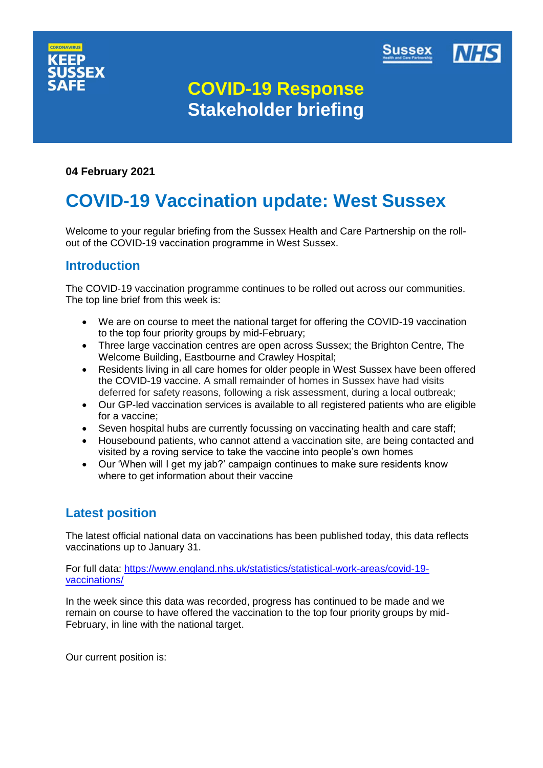



# **COVID-19 Response Stakeholder briefing**

# **04 February 2021**

# **COVID-19 Vaccination update: West Sussex**

Welcome to your regular briefing from the Sussex Health and Care Partnership on the rollout of the COVID-19 vaccination programme in West Sussex.

# **Introduction**

The COVID-19 vaccination programme continues to be rolled out across our communities. The top line brief from this week is:

- We are on course to meet the national target for offering the COVID-19 vaccination to the top four priority groups by mid-February;
- Three large vaccination centres are open across Sussex; the Brighton Centre, The Welcome Building, Eastbourne and Crawley Hospital;
- Residents living in all care homes for older people in West Sussex have been offered the COVID-19 vaccine. A small remainder of homes in Sussex have had visits deferred for safety reasons, following a risk assessment, during a local outbreak;
- Our GP-led vaccination services is available to all registered patients who are eligible for a vaccine;
- Seven hospital hubs are currently focussing on vaccinating health and care staff;
- Housebound patients, who cannot attend a vaccination site, are being contacted and visited by a roving service to take the vaccine into people's own homes
- Our 'When will I get my jab?' campaign continues to make sure residents know where to get information about their vaccine

# **Latest position**

The latest official national data on vaccinations has been published today, this data reflects vaccinations up to January 31.

For full data: [https://www.england.nhs.uk/statistics/statistical-work-areas/covid-19](https://www.england.nhs.uk/statistics/statistical-work-areas/covid-19-vaccinations/) [vaccinations/](https://www.england.nhs.uk/statistics/statistical-work-areas/covid-19-vaccinations/)

In the week since this data was recorded, progress has continued to be made and we remain on course to have offered the vaccination to the top four priority groups by mid-February, in line with the national target.

Our current position is: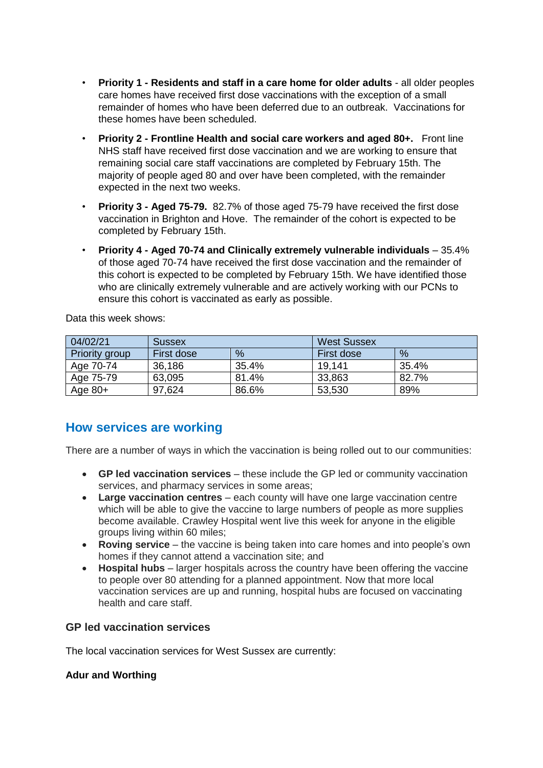- **Priority 1 - Residents and staff in a care home for older adults** all older peoples care homes have received first dose vaccinations with the exception of a small remainder of homes who have been deferred due to an outbreak. Vaccinations for these homes have been scheduled.
- **Priority 2 - Frontline Health and social care workers and aged 80+.** Front line NHS staff have received first dose vaccination and we are working to ensure that remaining social care staff vaccinations are completed by February 15th. The majority of people aged 80 and over have been completed, with the remainder expected in the next two weeks.
- **Priority 3 - Aged 75-79.** 82.7% of those aged 75-79 have received the first dose vaccination in Brighton and Hove. The remainder of the cohort is expected to be completed by February 15th.
- **Priority 4 - Aged 70-74 and Clinically extremely vulnerable individuals** 35.4% of those aged 70-74 have received the first dose vaccination and the remainder of this cohort is expected to be completed by February 15th. We have identified those who are clinically extremely vulnerable and are actively working with our PCNs to ensure this cohort is vaccinated as early as possible.

Data this week shows:

| 04/02/21       | <b>Sussex</b> |       | <b>West Sussex</b> |       |
|----------------|---------------|-------|--------------------|-------|
| Priority group | First dose    | %     | First dose         | %     |
| Age 70-74      | 36,186        | 35.4% | 19,141             | 35.4% |
| Age 75-79      | 63,095        | 81.4% | 33,863             | 82.7% |
| Age $80+$      | 97,624        | 86.6% | 53,530             | 89%   |

# **How services are working**

There are a number of ways in which the vaccination is being rolled out to our communities:

- **GP led vaccination services** these include the GP led or community vaccination services, and pharmacy services in some areas;
- **Large vaccination centres** each county will have one large vaccination centre which will be able to give the vaccine to large numbers of people as more supplies become available. Crawley Hospital went live this week for anyone in the eligible groups living within 60 miles;
- **Roving service** the vaccine is being taken into care homes and into people's own homes if they cannot attend a vaccination site; and
- **Hospital hubs** larger hospitals across the country have been offering the vaccine to people over 80 attending for a planned appointment. Now that more local vaccination services are up and running, hospital hubs are focused on vaccinating health and care staff.

# **GP led vaccination services**

The local vaccination services for West Sussex are currently:

## **Adur and Worthing**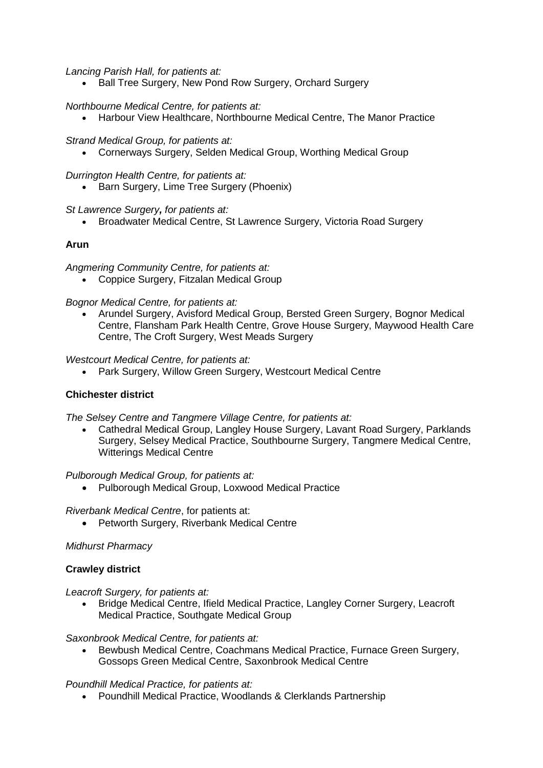*Lancing Parish Hall, for patients at:*

• Ball Tree Surgery, New Pond Row Surgery, Orchard Surgery

#### *Northbourne Medical Centre, for patients at:*

Harbour View Healthcare, Northbourne Medical Centre, The Manor Practice

#### *Strand Medical Group, for patients at:*

Cornerways Surgery, Selden Medical Group, Worthing Medical Group

*Durrington Health Centre, for patients at:*

• Barn Surgery, Lime Tree Surgery (Phoenix)

#### *St Lawrence Surgery, for patients at:*

• Broadwater Medical Centre, St Lawrence Surgery, Victoria Road Surgery

## **Arun**

*Angmering Community Centre, for patients at:*

Coppice Surgery, Fitzalan Medical Group

#### *Bognor Medical Centre, for patients at:*

 Arundel Surgery, Avisford Medical Group, Bersted Green Surgery, Bognor Medical Centre, Flansham Park Health Centre, Grove House Surgery, Maywood Health Care Centre, The Croft Surgery, West Meads Surgery

#### *Westcourt Medical Centre, for patients at:*

Park Surgery, Willow Green Surgery, Westcourt Medical Centre

## **Chichester district**

*The Selsey Centre and Tangmere Village Centre, for patients at:*

 Cathedral Medical Group, Langley House Surgery, Lavant Road Surgery, Parklands Surgery, Selsey Medical Practice, Southbourne Surgery, Tangmere Medical Centre, Witterings Medical Centre

#### *Pulborough Medical Group, for patients at:*

Pulborough Medical Group, Loxwood Medical Practice

*Riverbank Medical Centre*, for patients at:

• Petworth Surgery, Riverbank Medical Centre

#### *Midhurst Pharmacy*

#### **Crawley district**

*Leacroft Surgery, for patients at:*

 Bridge Medical Centre, Ifield Medical Practice, Langley Corner Surgery, Leacroft Medical Practice, Southgate Medical Group

*Saxonbrook Medical Centre, for patients at:*

 Bewbush Medical Centre, Coachmans Medical Practice, Furnace Green Surgery, Gossops Green Medical Centre, Saxonbrook Medical Centre

#### *Poundhill Medical Practice, for patients at:*

Poundhill Medical Practice, Woodlands & Clerklands Partnership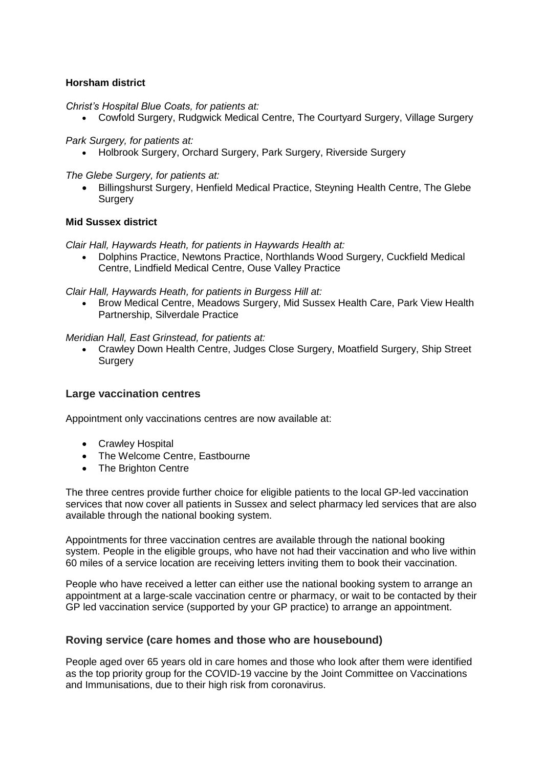# **Horsham district**

*Christ's Hospital Blue Coats, for patients at:*

Cowfold Surgery, Rudgwick Medical Centre, The Courtyard Surgery, Village Surgery

*Park Surgery, for patients at:*

Holbrook Surgery, Orchard Surgery, Park Surgery, Riverside Surgery

*The Glebe Surgery, for patients at:*

 Billingshurst Surgery, Henfield Medical Practice, Steyning Health Centre, The Glebe **Surgery** 

#### **Mid Sussex district**

*Clair Hall, Haywards Heath, for patients in Haywards Health at:*

 Dolphins Practice, Newtons Practice, Northlands Wood Surgery, Cuckfield Medical Centre, Lindfield Medical Centre, Ouse Valley Practice

*Clair Hall, Haywards Heath, for patients in Burgess Hill at:*

 Brow Medical Centre, Meadows Surgery, Mid Sussex Health Care, Park View Health Partnership, Silverdale Practice

*Meridian Hall, East Grinstead, for patients at:*

 Crawley Down Health Centre, Judges Close Surgery, Moatfield Surgery, Ship Street Surgery

## **Large vaccination centres**

Appointment only vaccinations centres are now available at:

- Crawley Hospital
- The Welcome Centre, Eastbourne
- The Brighton Centre

The three centres provide further choice for eligible patients to the local GP-led vaccination services that now cover all patients in Sussex and select pharmacy led services that are also available through the national booking system.

Appointments for three vaccination centres are available through the national booking system. People in the eligible groups, who have not had their vaccination and who live within 60 miles of a service location are receiving letters inviting them to book their vaccination.

People who have received a letter can either use the national booking system to arrange an appointment at a large-scale vaccination centre or pharmacy, or wait to be contacted by their GP led vaccination service (supported by your GP practice) to arrange an appointment.

## **Roving service (care homes and those who are housebound)**

People aged over 65 years old in care homes and those who look after them were identified as the top priority group for the COVID-19 vaccine by the Joint Committee on Vaccinations and Immunisations, due to their high risk from coronavirus.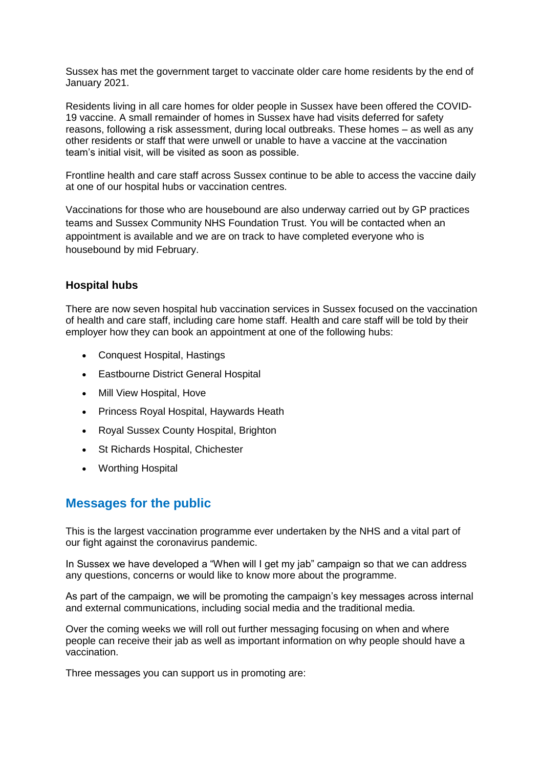Sussex has met the government target to vaccinate older care home residents by the end of January 2021.

Residents living in all care homes for older people in Sussex have been offered the COVID-19 vaccine. A small remainder of homes in Sussex have had visits deferred for safety reasons, following a risk assessment, during local outbreaks. These homes – as well as any other residents or staff that were unwell or unable to have a vaccine at the vaccination team's initial visit, will be visited as soon as possible.

Frontline health and care staff across Sussex continue to be able to access the vaccine daily at one of our hospital hubs or vaccination centres.

Vaccinations for those who are housebound are also underway carried out by GP practices teams and Sussex Community NHS Foundation Trust. You will be contacted when an appointment is available and we are on track to have completed everyone who is housebound by mid February.

# **Hospital hubs**

There are now seven hospital hub vaccination services in Sussex focused on the vaccination of health and care staff, including care home staff. Health and care staff will be told by their employer how they can book an appointment at one of the following hubs:

- [Conquest Hospital,](https://www.esht.nhs.uk/conquest-hospital/) Hastings
- [Eastbourne District General Hospital](https://www.esht.nhs.uk/eastbourne-dgh/)
- [Mill View Hospital,](https://www.sussexpartnership.nhs.uk/location-mill-view-hospital) Hove
- [Princess Royal Hospital,](https://www.bsuh.nhs.uk/hospitals/princess-royal-hospital/) Haywards Heath
- [Royal Sussex County Hospital,](http://www.bsuh.nhs.uk/hospitals/royal-sussex-county-hospital/) Brighton
- [St Richards Hospital,](https://www.westernsussexhospitals.nhs.uk/our-hospitals/st-richards-hospital/) Chichester
- [Worthing Hospital](https://www.westernsussexhospitals.nhs.uk/)

# **Messages for the public**

This is the largest vaccination programme ever undertaken by the NHS and a vital part of our fight against the coronavirus pandemic.

In Sussex we have developed a "When will I get my jab" campaign so that we can address any questions, concerns or would like to know more about the programme.

As part of the campaign, we will be promoting the campaign's key messages across internal and external communications, including social media and the traditional media.

Over the coming weeks we will roll out further messaging focusing on when and where people can receive their jab as well as important information on why people should have a vaccination.

Three messages you can support us in promoting are: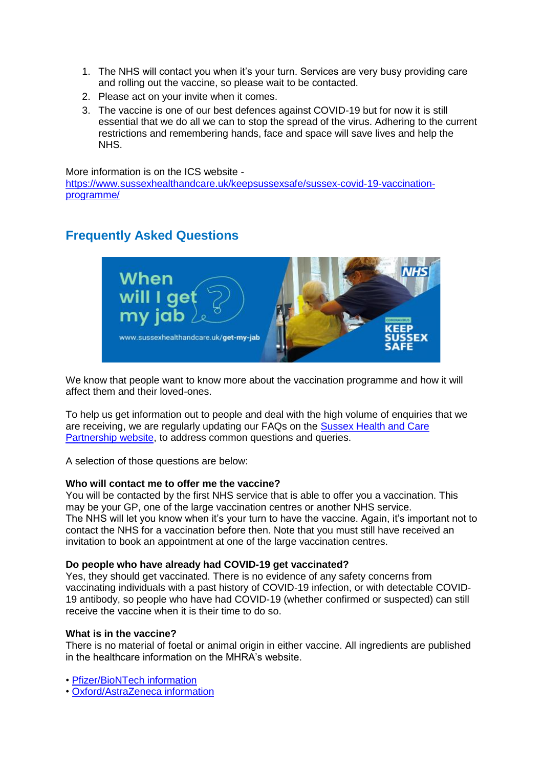- 1. The NHS will contact you when it's your turn. Services are very busy providing care and rolling out the vaccine, so please wait to be contacted.
- 2. Please act on your invite when it comes.
- 3. The vaccine is one of our best defences against COVID-19 but for now it is still essential that we do all we can to stop the spread of the virus. Adhering to the current restrictions and remembering hands, face and space will save lives and help the NHS.

More information is on the ICS website -

[https://www.sussexhealthandcare.uk/keepsussexsafe/sussex-covid-19-vaccination](https://www.sussexhealthandcare.uk/keepsussexsafe/sussex-covid-19-vaccination-programme/)[programme/](https://www.sussexhealthandcare.uk/keepsussexsafe/sussex-covid-19-vaccination-programme/) 

# **Frequently Asked Questions**



We know that people want to know more about the vaccination programme and how it will affect them and their loved-ones.

To help us get information out to people and deal with the high volume of enquiries that we are receiving, we are regularly updating our FAQs on the [Sussex Health and Care](https://www.sussexhealthandcare.uk/keepsussexsafe/sussex-covid-19-vaccination-programme/)  [Partnership website,](https://www.sussexhealthandcare.uk/keepsussexsafe/sussex-covid-19-vaccination-programme/) to address common questions and queries.

A selection of those questions are below:

## **Who will contact me to offer me the vaccine?**

You will be contacted by the first NHS service that is able to offer you a vaccination. This may be your GP, one of the large vaccination centres or another NHS service. The NHS will let you know when it's your turn to have the vaccine. Again, it's important not to contact the NHS for a vaccination before then. Note that you must still have received an invitation to book an appointment at one of the large vaccination centres.

## **Do people who have already had COVID-19 get vaccinated?**

Yes, they should get vaccinated. There is no evidence of any safety concerns from vaccinating individuals with a past history of COVID-19 infection, or with detectable COVID-19 antibody, so people who have had COVID-19 (whether confirmed or suspected) can still receive the vaccine when it is their time to do so.

#### **What is in the vaccine?**

There is no material of foetal or animal origin in either vaccine. All ingredients are published in the healthcare information on the MHRA's website.

• [Pfizer/BioNTech](https://www.gov.uk/government/publications/regulatory-approval-of-pfizer-biontech-vaccine-for-covid-19) information

• [Oxford/AstraZeneca information](https://www.gov.uk/government/publications/regulatory-approval-of-covid-19-vaccine-astrazeneca)